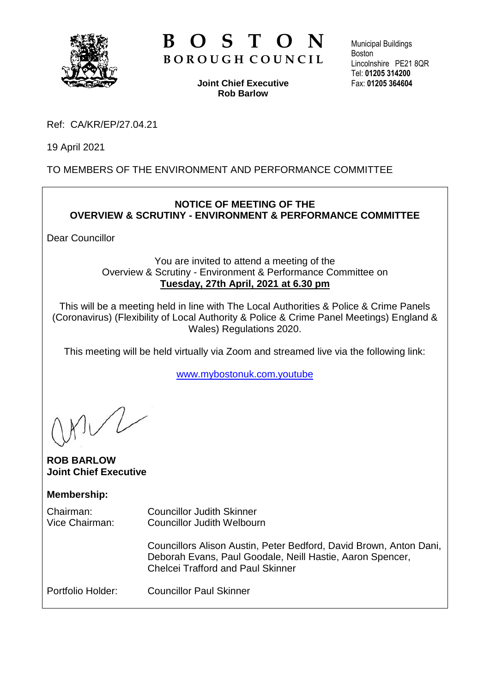

# **B O S T O N B O R O U G H C O U N C I L**

**Joint Chief Executive Rob Barlow**

Municipal Buildings **Boston** Lincolnshire PE21 8QR Tel: **01205 314200** Fax: **01205 364604**

Ref: CA/KR/EP/27.04.21

19 April 2021

# TO MEMBERS OF THE ENVIRONMENT AND PERFORMANCE COMMITTEE

### **NOTICE OF MEETING OF THE OVERVIEW & SCRUTINY - ENVIRONMENT & PERFORMANCE COMMITTEE**

Dear Councillor

### You are invited to attend a meeting of the Overview & Scrutiny - Environment & Performance Committee on **Tuesday, 27th April, 2021 at 6.30 pm**

This will be a meeting held in line with The Local Authorities & Police & Crime Panels (Coronavirus) (Flexibility of Local Authority & Police & Crime Panel Meetings) England & Wales) Regulations 2020.

This meeting will be held virtually via Zoom and streamed live via the following link:

[www.mybostonuk.com.youtube](http://www.mybostonuk.com.youtube/)

### **ROB BARLOW Joint Chief Executive**

## **Membership:**

| Chairman:<br>Vice Chairman: | <b>Councillor Judith Skinner</b><br><b>Councillor Judith Welbourn</b>                                                                                                       |
|-----------------------------|-----------------------------------------------------------------------------------------------------------------------------------------------------------------------------|
|                             | Councillors Alison Austin, Peter Bedford, David Brown, Anton Dani,<br>Deborah Evans, Paul Goodale, Neill Hastie, Aaron Spencer,<br><b>Chelcei Trafford and Paul Skinner</b> |
| Portfolio Holder:           | <b>Councillor Paul Skinner</b>                                                                                                                                              |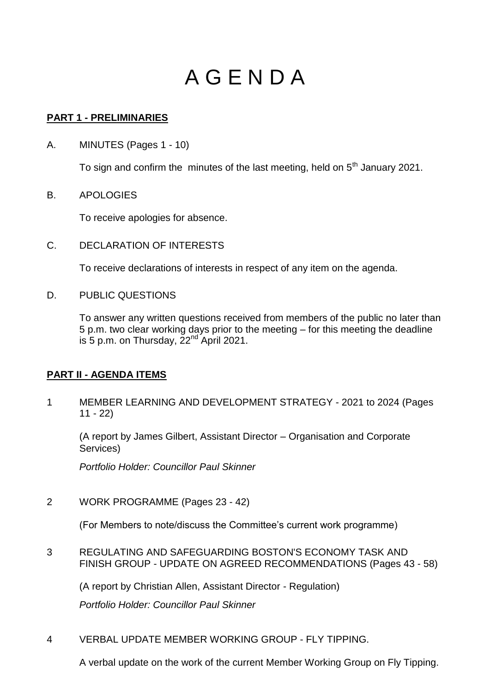# A G E N D A

### **PART 1 - PRELIMINARIES**

A. MINUTES (Pages 1 - 10)

To sign and confirm the minutes of the last meeting, held on  $5<sup>th</sup>$  January 2021.

B. APOLOGIES

To receive apologies for absence.

C. DECLARATION OF INTERESTS

To receive declarations of interests in respect of any item on the agenda.

D. PUBLIC QUESTIONS

To answer any written questions received from members of the public no later than 5 p.m. two clear working days prior to the meeting – for this meeting the deadline is 5 p.m. on Thursday,  $22<sup>nd</sup>$  April 2021.

## **PART II - AGENDA ITEMS**

1 MEMBER LEARNING AND DEVELOPMENT STRATEGY - 2021 to 2024 (Pages 11 - 22)

(A report by James Gilbert, Assistant Director – Organisation and Corporate Services)

*Portfolio Holder: Councillor Paul Skinner* 

2 WORK PROGRAMME (Pages 23 - 42)

(For Members to note/discuss the Committee's current work programme)

3 REGULATING AND SAFEGUARDING BOSTON'S ECONOMY TASK AND FINISH GROUP - UPDATE ON AGREED RECOMMENDATIONS (Pages 43 - 58)

(A report by Christian Allen, Assistant Director - Regulation)

*Portfolio Holder: Councillor Paul Skinner* 

4 VERBAL UPDATE MEMBER WORKING GROUP - FLY TIPPING.

A verbal update on the work of the current Member Working Group on Fly Tipping.